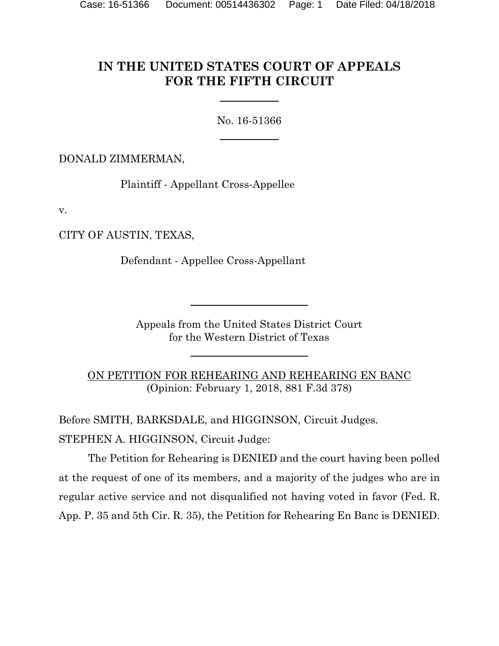# **IN THE UNITED STATES COURT OF APPEALS FOR THE FIFTH CIRCUIT**

No. 16-51366

DONALD ZIMMERMAN,

Plaintiff - Appellant Cross-Appellee

v.

CITY OF AUSTIN, TEXAS,

Defendant - Appellee Cross-Appellant

Appeals from the United States District Court for the Western District of Texas

ON PETITION FOR REHEARING AND REHEARING EN BANC (Opinion: February 1, 2018, 881 F.3d 378)

Before SMITH, BARKSDALE, and HIGGINSON, Circuit Judges. STEPHEN A. HIGGINSON, Circuit Judge:

The Petition for Rehearing is DENIED and the court having been polled at the request of one of its members, and a majority of the judges who are in regular active service and not disqualified not having voted in favor (Fed. R. App. P. 35 and 5th Cir. R. 35), the Petition for Rehearing En Banc is DENIED.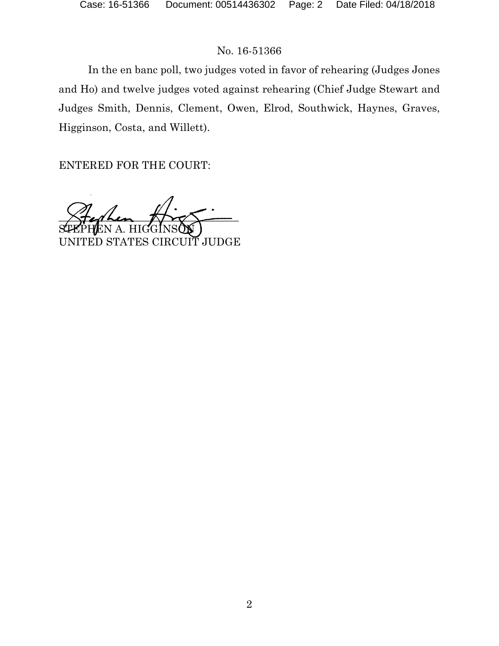In the en banc poll, two judges voted in favor of rehearing (Judges Jones and Ho) and twelve judges voted against rehearing (Chief Judge Stewart and Judges Smith, Dennis, Clement, Owen, Elrod, Southwick, Haynes, Graves, Higginson, Costa, and Willett).

ENTERED FOR THE COURT:

 $X$ terken  $X$ S<del>T</del>EPHEN A. HIGGINSON UNITED STATES CIRCUIT JUDGE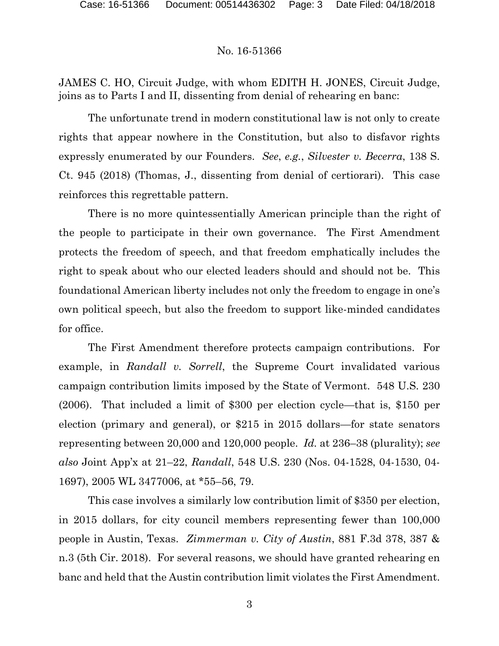JAMES C. HO, Circuit Judge, with whom EDITH H. JONES, Circuit Judge, joins as to Parts I and II, dissenting from denial of rehearing en banc:

The unfortunate trend in modern constitutional law is not only to create rights that appear nowhere in the Constitution, but also to disfavor rights expressly enumerated by our Founders. *See*, *e.g.*, *Silvester v. Becerra*, 138 S. Ct. 945 (2018) (Thomas, J., dissenting from denial of certiorari). This case reinforces this regrettable pattern.

There is no more quintessentially American principle than the right of the people to participate in their own governance. The First Amendment protects the freedom of speech, and that freedom emphatically includes the right to speak about who our elected leaders should and should not be. This foundational American liberty includes not only the freedom to engage in one's own political speech, but also the freedom to support like-minded candidates for office.

The First Amendment therefore protects campaign contributions. For example, in *Randall v. Sorrell*, the Supreme Court invalidated various campaign contribution limits imposed by the State of Vermont. 548 U.S. 230 (2006). That included a limit of \$300 per election cycle—that is, \$150 per election (primary and general), or \$215 in 2015 dollars—for state senators representing between 20,000 and 120,000 people. *Id.* at 236–38 (plurality); *see also* Joint App'x at 21–22, *Randall*, 548 U.S. 230 (Nos. 04-1528, 04-1530, 04- 1697), 2005 WL 3477006, at \*55–56, 79.

This case involves a similarly low contribution limit of \$350 per election, in 2015 dollars, for city council members representing fewer than 100,000 people in Austin, Texas. *Zimmerman v. City of Austin*, 881 F.3d 378, 387 & n.3 (5th Cir. 2018). For several reasons, we should have granted rehearing en banc and held that the Austin contribution limit violates the First Amendment.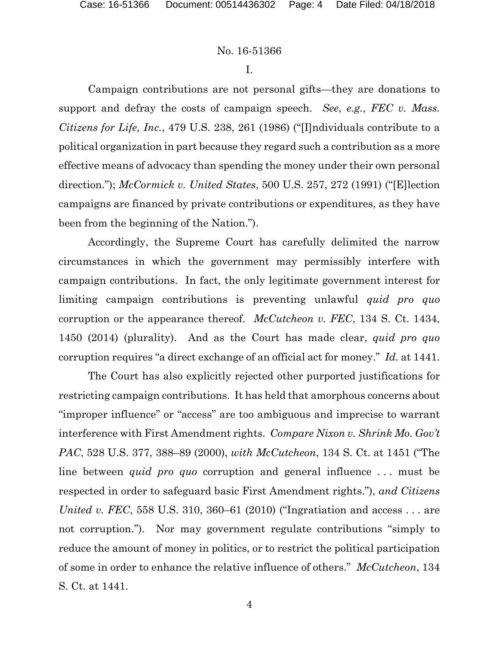I.

Campaign contributions are not personal gifts—they are donations to support and defray the costs of campaign speech. *See*, *e.g.*, *FEC v. Mass. Citizens for Life, Inc.*, 479 U.S. 238, 261 (1986) ("[I]ndividuals contribute to a political organization in part because they regard such a contribution as a more effective means of advocacy than spending the money under their own personal direction."); *McCormick v. United States*, 500 U.S. 257, 272 (1991) ("[E]lection campaigns are financed by private contributions or expenditures, as they have been from the beginning of the Nation.").

Accordingly, the Supreme Court has carefully delimited the narrow circumstances in which the government may permissibly interfere with campaign contributions. In fact, the only legitimate government interest for limiting campaign contributions is preventing unlawful *quid pro quo* corruption or the appearance thereof. *McCutcheon v. FEC*, 134 S. Ct. 1434, 1450 (2014) (plurality). And as the Court has made clear, *quid pro quo* corruption requires "a direct exchange of an official act for money." *Id.* at 1441.

The Court has also explicitly rejected other purported justifications for restricting campaign contributions. It has held that amorphous concerns about "improper influence" or "access" are too ambiguous and imprecise to warrant interference with First Amendment rights. *Compare Nixon v. Shrink Mo. Gov't PAC*, 528 U.S. 377, 388–89 (2000), *with McCutcheon*, 134 S. Ct. at 1451 ("The line between *quid pro quo* corruption and general influence . . . must be respected in order to safeguard basic First Amendment rights."), *and Citizens United v. FEC*, 558 U.S. 310, 360–61 (2010) ("Ingratiation and access . . . are not corruption."). Nor may government regulate contributions "simply to reduce the amount of money in politics, or to restrict the political participation of some in order to enhance the relative influence of others." *McCutcheon*, 134 S. Ct. at 1441.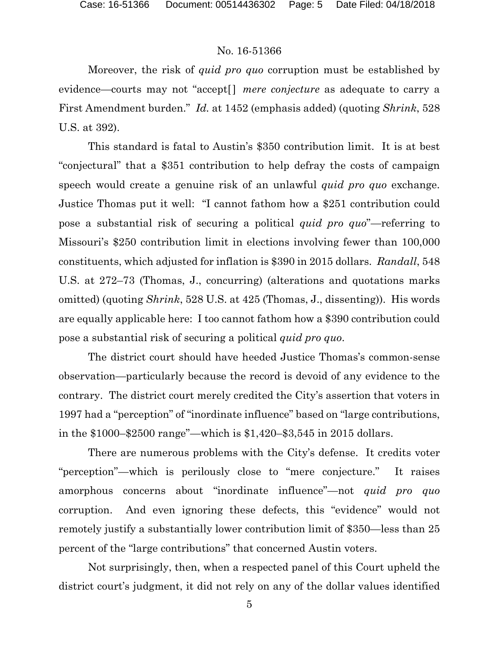Moreover, the risk of *quid pro quo* corruption must be established by evidence—courts may not "accept<sup>[]</sup> *mere conjecture* as adequate to carry a First Amendment burden." *Id.* at 1452 (emphasis added) (quoting *Shrink*, 528 U.S. at 392).

This standard is fatal to Austin's \$350 contribution limit. It is at best "conjectural" that a \$351 contribution to help defray the costs of campaign speech would create a genuine risk of an unlawful *quid pro quo* exchange. Justice Thomas put it well: "I cannot fathom how a \$251 contribution could pose a substantial risk of securing a political *quid pro quo*"—referring to Missouri's \$250 contribution limit in elections involving fewer than 100,000 constituents, which adjusted for inflation is \$390 in 2015 dollars. *Randall*, 548 U.S. at 272–73 (Thomas, J., concurring) (alterations and quotations marks omitted) (quoting *Shrink*, 528 U.S. at 425 (Thomas, J., dissenting)). His words are equally applicable here: I too cannot fathom how a \$390 contribution could pose a substantial risk of securing a political *quid pro quo*.

The district court should have heeded Justice Thomas's common-sense observation—particularly because the record is devoid of any evidence to the contrary. The district court merely credited the City's assertion that voters in 1997 had a "perception" of "inordinate influence" based on "large contributions, in the \$1000–\$2500 range"—which is \$1,420–\$3,545 in 2015 dollars.

There are numerous problems with the City's defense. It credits voter "perception"—which is perilously close to "mere conjecture." It raises amorphous concerns about "inordinate influence"—not *quid pro quo* corruption. And even ignoring these defects, this "evidence" would not remotely justify a substantially lower contribution limit of \$350—less than 25 percent of the "large contributions" that concerned Austin voters.

Not surprisingly, then, when a respected panel of this Court upheld the district court's judgment, it did not rely on any of the dollar values identified

5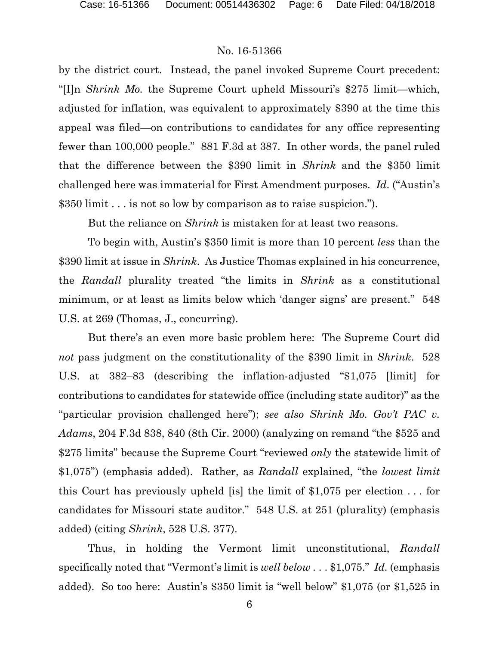by the district court. Instead, the panel invoked Supreme Court precedent: "[I]n *Shrink Mo.* the Supreme Court upheld Missouri's \$275 limit—which, adjusted for inflation, was equivalent to approximately \$390 at the time this appeal was filed—on contributions to candidates for any office representing fewer than 100,000 people." 881 F.3d at 387. In other words, the panel ruled that the difference between the \$390 limit in *Shrink* and the \$350 limit challenged here was immaterial for First Amendment purposes. *Id*. ("Austin's \$350 limit . . . is not so low by comparison as to raise suspicion.").

But the reliance on *Shrink* is mistaken for at least two reasons.

To begin with, Austin's \$350 limit is more than 10 percent *less* than the \$390 limit at issue in *Shrink*. As Justice Thomas explained in his concurrence, the *Randall* plurality treated "the limits in *Shrink* as a constitutional minimum, or at least as limits below which 'danger signs' are present." 548 U.S. at 269 (Thomas, J., concurring).

But there's an even more basic problem here: The Supreme Court did *not* pass judgment on the constitutionality of the \$390 limit in *Shrink*. 528 U.S. at 382–83 (describing the inflation-adjusted "\$1,075 [limit] for contributions to candidates for statewide office (including state auditor)" as the "particular provision challenged here"); *see also Shrink Mo. Gov't PAC v. Adams*, 204 F.3d 838, 840 (8th Cir. 2000) (analyzing on remand "the \$525 and \$275 limits" because the Supreme Court "reviewed *only* the statewide limit of \$1,075") (emphasis added). Rather, as *Randall* explained, "the *lowest limit* this Court has previously upheld [is] the limit of \$1,075 per election . . . for candidates for Missouri state auditor." 548 U.S. at 251 (plurality) (emphasis added) (citing *Shrink*, 528 U.S. 377).

Thus, in holding the Vermont limit unconstitutional, *Randall*  specifically noted that "Vermont's limit is *well below* . . . \$1,075." *Id.* (emphasis added). So too here: Austin's \$350 limit is "well below" \$1,075 (or \$1,525 in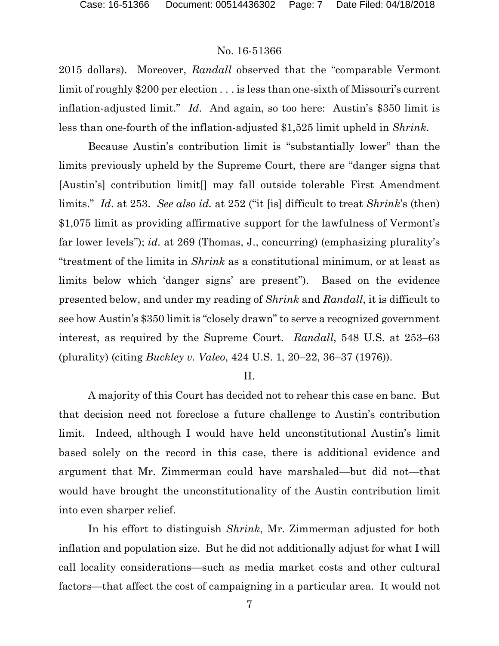2015 dollars). Moreover, *Randall* observed that the "comparable Vermont limit of roughly \$200 per election . . . is less than one-sixth of Missouri's current inflation-adjusted limit." *Id*. And again, so too here: Austin's \$350 limit is less than one-fourth of the inflation-adjusted \$1,525 limit upheld in *Shrink*.

Because Austin's contribution limit is "substantially lower" than the limits previously upheld by the Supreme Court, there are "danger signs that [Austin's] contribution limit[] may fall outside tolerable First Amendment limits." *Id*. at 253. *See also id.* at 252 ("it [is] difficult to treat *Shrink*'s (then) \$1,075 limit as providing affirmative support for the lawfulness of Vermont's far lower levels"); *id.* at 269 (Thomas, J., concurring) (emphasizing plurality's "treatment of the limits in *Shrink* as a constitutional minimum, or at least as limits below which 'danger signs' are present"). Based on the evidence presented below, and under my reading of *Shrink* and *Randall*, it is difficult to see how Austin's \$350 limit is "closely drawn" to serve a recognized government interest, as required by the Supreme Court. *Randall*, 548 U.S. at 253–63 (plurality) (citing *Buckley v. Valeo*, 424 U.S. 1, 20–22, 36–37 (1976)).

#### II.

A majority of this Court has decided not to rehear this case en banc. But that decision need not foreclose a future challenge to Austin's contribution limit. Indeed, although I would have held unconstitutional Austin's limit based solely on the record in this case, there is additional evidence and argument that Mr. Zimmerman could have marshaled—but did not—that would have brought the unconstitutionality of the Austin contribution limit into even sharper relief.

In his effort to distinguish *Shrink*, Mr. Zimmerman adjusted for both inflation and population size. But he did not additionally adjust for what I will call locality considerations—such as media market costs and other cultural factors—that affect the cost of campaigning in a particular area. It would not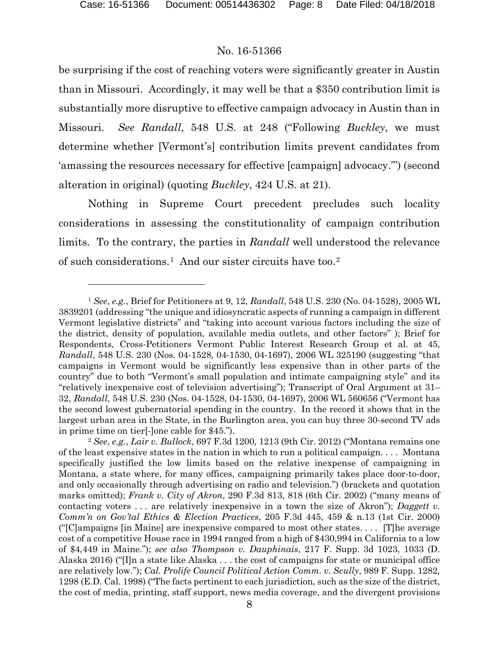$\overline{a}$ 

#### No. 16-51366

be surprising if the cost of reaching voters were significantly greater in Austin than in Missouri. Accordingly, it may well be that a \$350 contribution limit is substantially more disruptive to effective campaign advocacy in Austin than in Missouri. *See Randall*, 548 U.S. at 248 ("Following *Buckley*, we must determine whether [Vermont's] contribution limits prevent candidates from 'amassing the resources necessary for effective [campaign] advocacy.'") (second alteration in original) (quoting *Buckley*, 424 U.S. at 21).

Nothing in Supreme Court precedent precludes such locality considerations in assessing the constitutionality of campaign contribution limits. To the contrary, the parties in *Randall* well understood the relevance of such considerations.[1](#page-7-0) And our sister circuits have too.[2](#page-7-1)

<span id="page-7-0"></span><sup>1</sup> *See*, *e.g.*, Brief for Petitioners at 9, 12, *Randall*, 548 U.S. 230 (No. 04-1528), 2005 WL 3839201 (addressing "the unique and idiosyncratic aspects of running a campaign in different Vermont legislative districts" and "taking into account various factors including the size of the district, density of population, available media outlets, and other factors" ); Brief for Respondents, Cross-Petitioners Vermont Public Interest Research Group et al. at 45, *Randall*, 548 U.S. 230 (Nos. 04-1528, 04-1530, 04-1697), 2006 WL 325190 (suggesting "that campaigns in Vermont would be significantly less expensive than in other parts of the country" due to both "Vermont's small population and intimate campaigning style" and its "relatively inexpensive cost of television advertising"); Transcript of Oral Argument at 31– 32, *Randall*, 548 U.S. 230 (Nos. 04-1528, 04-1530, 04-1697), 2006 WL 560656 ("Vermont has the second lowest gubernatorial spending in the country. In the record it shows that in the largest urban area in the State, in the Burlington area, you can buy three 30-second TV ads in prime time on tier[-]one cable for \$45.").

<span id="page-7-1"></span><sup>2</sup> *See*, *e.g.*, *Lair v. Bullock*, 697 F.3d 1200, 1213 (9th Cir. 2012) ("Montana remains one of the least expensive states in the nation in which to run a political campaign. . . . Montana specifically justified the low limits based on the relative inexpense of campaigning in Montana, a state where, for many offices, campaigning primarily takes place door-to-door, and only occasionally through advertising on radio and television.") (brackets and quotation marks omitted); *Frank v. City of Akron*, 290 F.3d 813, 818 (6th Cir. 2002) ("many means of contacting voters . . . are relatively inexpensive in a town the size of Akron"); *Daggett v. Comm'n on Gov'tal Ethics & Election Practices*, 205 F.3d 445, 459 & n.13 (1st Cir. 2000) ("[C]ampaigns [in Maine] are inexpensive compared to most other states. . . . [T]he average cost of a competitive House race in 1994 ranged from a high of \$430,994 in California to a low of \$4,449 in Maine."); *see also Thompson v. Dauphinais*, 217 F. Supp. 3d 1023, 1033 (D. Alaska 2016) ("[I]n a state like Alaska . . . the cost of campaigns for state or municipal office are relatively low."); *Cal. Prolife Council Political Action Comm. v. Scully*, 989 F. Supp. 1282, 1298 (E.D. Cal. 1998) ("The facts pertinent to each jurisdiction, such as the size of the district, the cost of media, printing, staff support, news media coverage, and the divergent provisions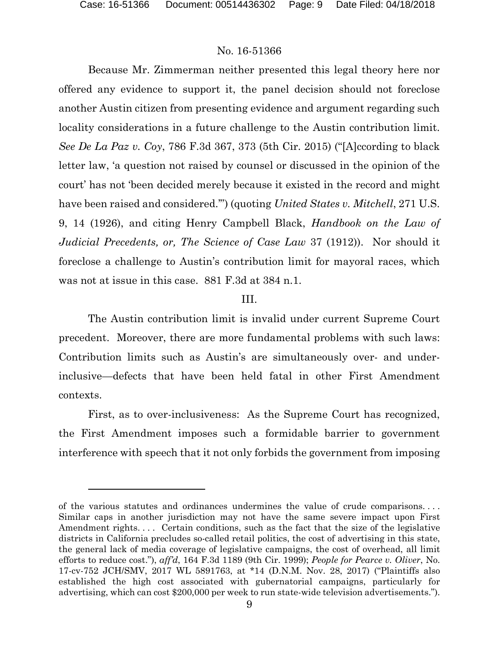l

## No. 16-51366

Because Mr. Zimmerman neither presented this legal theory here nor offered any evidence to support it, the panel decision should not foreclose another Austin citizen from presenting evidence and argument regarding such locality considerations in a future challenge to the Austin contribution limit. *See De La Paz v. Coy*, 786 F.3d 367, 373 (5th Cir. 2015) ("[A]ccording to black letter law, 'a question not raised by counsel or discussed in the opinion of the court' has not 'been decided merely because it existed in the record and might have been raised and considered.'") (quoting *United States v. Mitchell*, 271 U.S. 9, 14 (1926), and citing Henry Campbell Black, *Handbook on the Law of Judicial Precedents, or, The Science of Case Law* 37 (1912)). Nor should it foreclose a challenge to Austin's contribution limit for mayoral races, which was not at issue in this case. 881 F.3d at 384 n.1.

#### III.

The Austin contribution limit is invalid under current Supreme Court precedent. Moreover, there are more fundamental problems with such laws: Contribution limits such as Austin's are simultaneously over- and underinclusive—defects that have been held fatal in other First Amendment contexts.

First, as to over-inclusiveness: As the Supreme Court has recognized, the First Amendment imposes such a formidable barrier to government interference with speech that it not only forbids the government from imposing

of the various statutes and ordinances undermines the value of crude comparisons. . . . Similar caps in another jurisdiction may not have the same severe impact upon First Amendment rights.... Certain conditions, such as the fact that the size of the legislative districts in California precludes so-called retail politics, the cost of advertising in this state, the general lack of media coverage of legislative campaigns, the cost of overhead, all limit efforts to reduce cost."), *aff'd*, 164 F.3d 1189 (9th Cir. 1999); *People for Pearce v. Oliver*, No. 17-cv-752 JCH/SMV, 2017 WL 5891763, at \*14 (D.N.M. Nov. 28, 2017) ("Plaintiffs also established the high cost associated with gubernatorial campaigns, particularly for advertising, which can cost \$200,000 per week to run state-wide television advertisements.").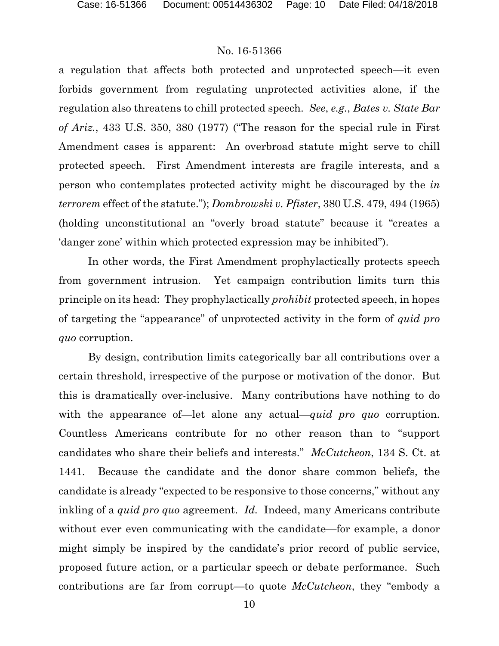a regulation that affects both protected and unprotected speech—it even forbids government from regulating unprotected activities alone, if the regulation also threatens to chill protected speech. *See*, *e.g.*, *Bates v. State Bar of Ariz.*, 433 U.S. 350, 380 (1977) ("The reason for the special rule in First Amendment cases is apparent: An overbroad statute might serve to chill protected speech. First Amendment interests are fragile interests, and a person who contemplates protected activity might be discouraged by the *in terrorem* effect of the statute."); *Dombrowski v. Pfister*, 380 U.S. 479, 494 (1965) (holding unconstitutional an "overly broad statute" because it "creates a 'danger zone' within which protected expression may be inhibited").

In other words, the First Amendment prophylactically protects speech from government intrusion. Yet campaign contribution limits turn this principle on its head: They prophylactically *prohibit* protected speech, in hopes of targeting the "appearance" of unprotected activity in the form of *quid pro quo* corruption.

By design, contribution limits categorically bar all contributions over a certain threshold, irrespective of the purpose or motivation of the donor. But this is dramatically over-inclusive. Many contributions have nothing to do with the appearance of—let alone any actual—*quid pro quo* corruption. Countless Americans contribute for no other reason than to "support candidates who share their beliefs and interests." *McCutcheon*, 134 S. Ct. at 1441. Because the candidate and the donor share common beliefs, the candidate is already "expected to be responsive to those concerns," without any inkling of a *quid pro quo* agreement. *Id.* Indeed, many Americans contribute without ever even communicating with the candidate—for example, a donor might simply be inspired by the candidate's prior record of public service, proposed future action, or a particular speech or debate performance. Such contributions are far from corrupt—to quote *McCutcheon*, they "embody a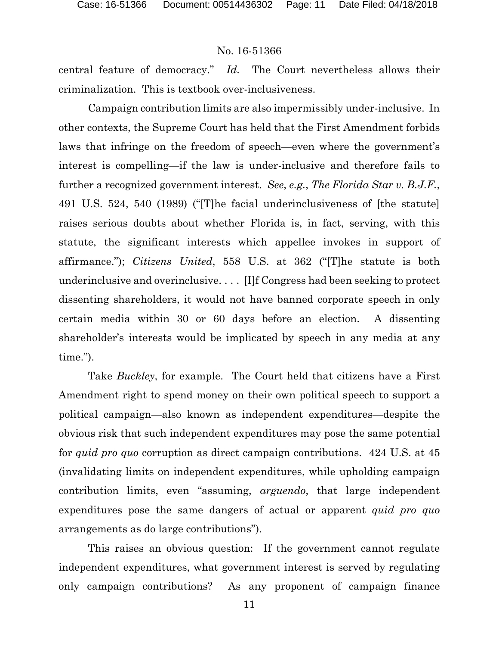central feature of democracy." *Id.* The Court nevertheless allows their criminalization. This is textbook over-inclusiveness.

Campaign contribution limits are also impermissibly under-inclusive. In other contexts, the Supreme Court has held that the First Amendment forbids laws that infringe on the freedom of speech—even where the government's interest is compelling—if the law is under-inclusive and therefore fails to further a recognized government interest. *See*, *e.g.*, *The Florida Star v. B.J.F.*, 491 U.S. 524, 540 (1989) ("[T]he facial underinclusiveness of [the statute] raises serious doubts about whether Florida is, in fact, serving, with this statute, the significant interests which appellee invokes in support of affirmance."); *Citizens United*, 558 U.S. at 362 ("[T]he statute is both underinclusive and overinclusive. . . . [I]f Congress had been seeking to protect dissenting shareholders, it would not have banned corporate speech in only certain media within 30 or 60 days before an election. A dissenting shareholder's interests would be implicated by speech in any media at any time.").

Take *Buckley*, for example. The Court held that citizens have a First Amendment right to spend money on their own political speech to support a political campaign—also known as independent expenditures—despite the obvious risk that such independent expenditures may pose the same potential for *quid pro quo* corruption as direct campaign contributions. 424 U.S. at 45 (invalidating limits on independent expenditures, while upholding campaign contribution limits, even "assuming, *arguendo*, that large independent expenditures pose the same dangers of actual or apparent *quid pro quo* arrangements as do large contributions").

This raises an obvious question: If the government cannot regulate independent expenditures, what government interest is served by regulating only campaign contributions? As any proponent of campaign finance

11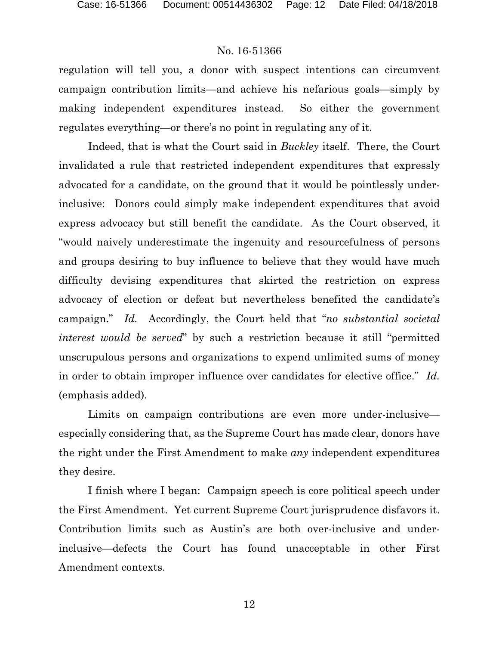regulation will tell you, a donor with suspect intentions can circumvent campaign contribution limits—and achieve his nefarious goals—simply by making independent expenditures instead. So either the government regulates everything—or there's no point in regulating any of it.

Indeed, that is what the Court said in *Buckley* itself. There, the Court invalidated a rule that restricted independent expenditures that expressly advocated for a candidate, on the ground that it would be pointlessly underinclusive: Donors could simply make independent expenditures that avoid express advocacy but still benefit the candidate. As the Court observed, it "would naively underestimate the ingenuity and resourcefulness of persons and groups desiring to buy influence to believe that they would have much difficulty devising expenditures that skirted the restriction on express advocacy of election or defeat but nevertheless benefited the candidate's campaign." *Id.* Accordingly, the Court held that "*no substantial societal interest would be served*" by such a restriction because it still "permitted unscrupulous persons and organizations to expend unlimited sums of money in order to obtain improper influence over candidates for elective office." *Id.* (emphasis added).

Limits on campaign contributions are even more under-inclusive especially considering that, as the Supreme Court has made clear, donors have the right under the First Amendment to make *any* independent expenditures they desire.

I finish where I began: Campaign speech is core political speech under the First Amendment. Yet current Supreme Court jurisprudence disfavors it. Contribution limits such as Austin's are both over-inclusive and underinclusive—defects the Court has found unacceptable in other First Amendment contexts.

12